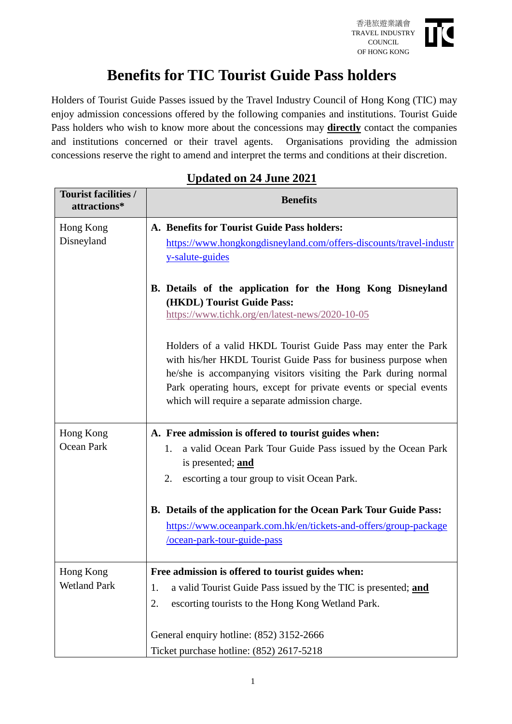

## **Benefits for TIC Tourist Guide Pass holders**

Holders of Tourist Guide Passes issued by the Travel Industry Council of Hong Kong (TIC) may enjoy admission concessions offered by the following companies and institutions. Tourist Guide Pass holders who wish to know more about the concessions may **directly** contact the companies and institutions concerned or their travel agents. Organisations providing the admission concessions reserve the right to amend and interpret the terms and conditions at their discretion.

| <b>Tourist facilities /</b><br>attractions* | <b>Benefits</b>                                                                                                                                                                                                                                                                                                            |
|---------------------------------------------|----------------------------------------------------------------------------------------------------------------------------------------------------------------------------------------------------------------------------------------------------------------------------------------------------------------------------|
| Hong Kong                                   | A. Benefits for Tourist Guide Pass holders:                                                                                                                                                                                                                                                                                |
| Disneyland                                  | https://www.hongkongdisneyland.com/offers-discounts/travel-industr<br>y-salute-guides                                                                                                                                                                                                                                      |
|                                             | B. Details of the application for the Hong Kong Disneyland<br>(HKDL) Tourist Guide Pass:<br>https://www.tichk.org/en/latest-news/2020-10-05                                                                                                                                                                                |
|                                             | Holders of a valid HKDL Tourist Guide Pass may enter the Park<br>with his/her HKDL Tourist Guide Pass for business purpose when<br>he/she is accompanying visitors visiting the Park during normal<br>Park operating hours, except for private events or special events<br>which will require a separate admission charge. |
| Hong Kong<br>Ocean Park                     | A. Free admission is offered to tourist guides when:                                                                                                                                                                                                                                                                       |
|                                             | a valid Ocean Park Tour Guide Pass issued by the Ocean Park<br>1.<br>is presented; and                                                                                                                                                                                                                                     |
|                                             | escorting a tour group to visit Ocean Park.<br>2.                                                                                                                                                                                                                                                                          |
|                                             | B. Details of the application for the Ocean Park Tour Guide Pass:                                                                                                                                                                                                                                                          |
|                                             | https://www.oceanpark.com.hk/en/tickets-and-offers/group-package<br>/ocean-park-tour-guide-pass                                                                                                                                                                                                                            |
| Hong Kong<br><b>Wetland Park</b>            | Free admission is offered to tourist guides when:                                                                                                                                                                                                                                                                          |
|                                             | a valid Tourist Guide Pass issued by the TIC is presented; and<br>1.                                                                                                                                                                                                                                                       |
|                                             | escorting tourists to the Hong Kong Wetland Park.<br>2.                                                                                                                                                                                                                                                                    |
|                                             | General enquiry hotline: (852) 3152-2666                                                                                                                                                                                                                                                                                   |
|                                             | Ticket purchase hotline: (852) 2617-5218                                                                                                                                                                                                                                                                                   |

## **Updated on 24 June 2021**